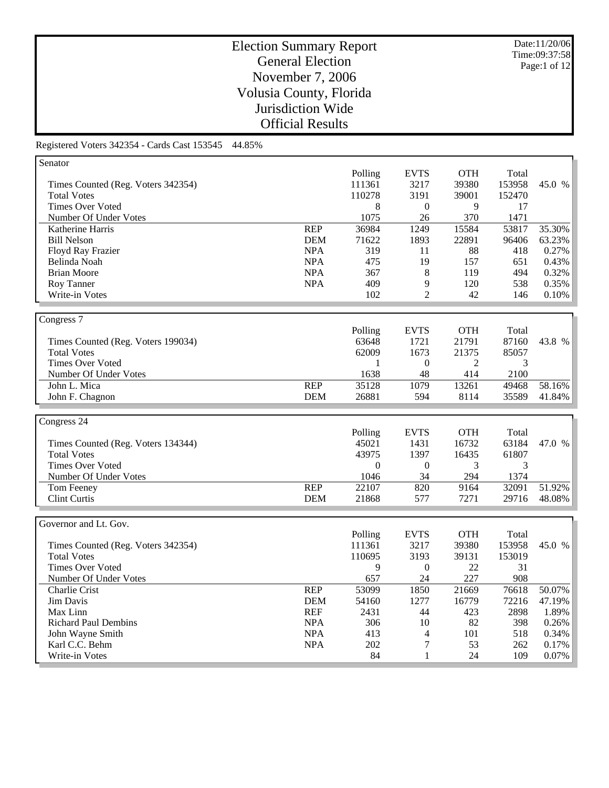Date:11/20/06 Time:09:37:58 Page:1 of 12

# Election Summary Report General Election November 7, 2006 Volusia County, Florida Jurisdiction Wide Official Results

|            | Polling           | <b>EVTS</b>            | <b>OTH</b>     | Total            |        |
|------------|-------------------|------------------------|----------------|------------------|--------|
|            | 111361            | 3217                   |                | 153958           | 45.0 % |
|            | 110278            | 3191                   | 39001          | 152470           |        |
|            | 8                 | $\boldsymbol{0}$       | 9              | 17               |        |
|            | 1075              | 26                     | 370            | 1471             |        |
| <b>REP</b> | 36984             | 1249                   | 15584          | 53817            | 35.30% |
| <b>DEM</b> | 71622             | 1893                   | 22891          | 96406            | 63.23% |
| <b>NPA</b> | 319               | 11                     | 88             | 418              | 0.27%  |
| <b>NPA</b> | 475               | 19                     | 157            | 651              | 0.43%  |
| <b>NPA</b> | 367               | 8                      | 119            | 494              | 0.32%  |
| <b>NPA</b> | 409               | 9                      | 120            | 538              | 0.35%  |
|            | 102               | $\overline{2}$         | 42             | 146              | 0.10%  |
|            |                   |                        |                |                  |        |
|            |                   |                        |                |                  |        |
|            | Polling           | <b>EVTS</b>            | <b>OTH</b>     | Total            |        |
|            | 63648             | 1721                   | 21791          | 87160            | 43.8 % |
|            | 62009             | 1673                   | 21375          | 85057            |        |
|            | 1                 | $\theta$               | 2              | 3                |        |
|            | 1638              | 48                     | 414            | 2100             |        |
| REP        | 35128             | 1079                   | 13261          | 49468            | 58.16% |
| <b>DEM</b> | 26881             | 594                    | 8114           | 35589            | 41.84% |
|            |                   |                        |                |                  |        |
|            |                   |                        |                |                  |        |
|            | Polling           | <b>EVTS</b>            | <b>OTH</b>     | Total            |        |
|            | 45021             | 1431                   | 16732          | 63184            | 47.0 % |
|            | 43975             | 1397                   | 16435          | 61807            |        |
|            | $\theta$          | $\theta$               | 3              | 3                |        |
|            | 1046              | 34                     | 294            | 1374             |        |
| <b>REP</b> | 22107             | 820                    | 9164           | 32091            | 51.92% |
| <b>DEM</b> | 21868             | 577                    | 7271           | 29716            | 48.08% |
|            |                   |                        |                |                  |        |
|            |                   |                        |                |                  |        |
|            |                   |                        |                |                  |        |
|            |                   | <b>EVTS</b>            | <b>OTH</b>     | Total            |        |
|            | Polling<br>111361 |                        |                |                  | 45.0 % |
|            | 110695            | 3217<br>3193           | 39380<br>39131 | 153958<br>153019 |        |
|            |                   |                        |                |                  |        |
|            | 9<br>657          | $\boldsymbol{0}$<br>24 | 22<br>227      | 31<br>908        |        |
| <b>REP</b> | 53099             | 1850                   | 21669          | 76618            | 50.07% |
| <b>DEM</b> | 54160             | 1277                   | 16779          | 72216            | 47.19% |
| <b>REF</b> | 2431              | 44                     | 423            | 2898             | 1.89%  |
| <b>NPA</b> | 306               | 10                     | 82             | 398              | 0.26%  |
| <b>NPA</b> | 413               | $\overline{4}$         | 101            | 518              | 0.34%  |
| <b>NPA</b> | 202               | $\tau$                 | 53             | 262              | 0.17%  |
|            |                   |                        |                | 39380            |        |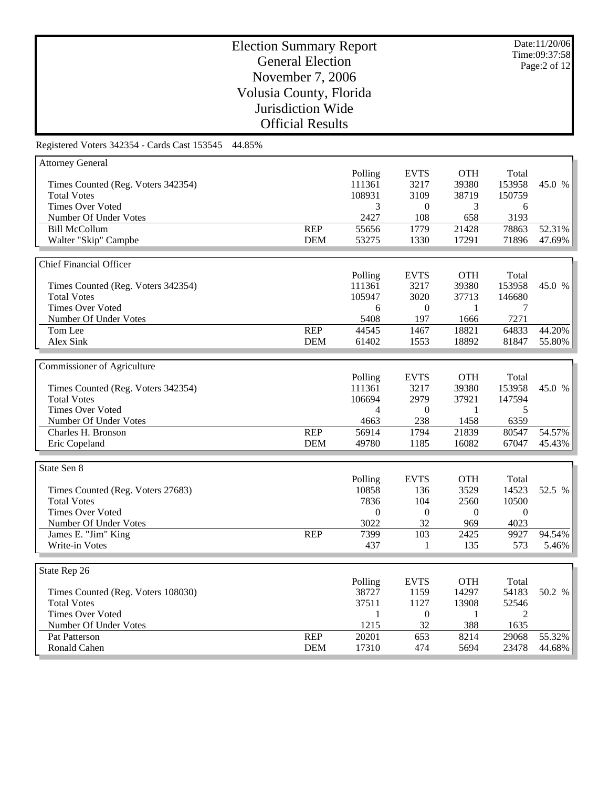Date:11/20/06 Time:09:37:58 Page:2 of 12

# Election Summary Report General Election November 7, 2006 Volusia County, Florida Jurisdiction Wide Official Results

| <b>Attorney General</b>            |            |                  |                  |            |                  |        |
|------------------------------------|------------|------------------|------------------|------------|------------------|--------|
|                                    |            | Polling          | <b>EVTS</b>      | <b>OTH</b> | Total            |        |
| Times Counted (Reg. Voters 342354) |            | 111361           | 3217             | 39380      | 153958           | 45.0 % |
| <b>Total Votes</b>                 |            | 108931           | 3109             | 38719      | 150759           |        |
| <b>Times Over Voted</b>            |            | 3                | $\theta$         | 3          | 6                |        |
| Number Of Under Votes              |            | 2427             | 108              | 658        | 3193             |        |
| <b>Bill McCollum</b>               | <b>REP</b> | 55656            | 1779             | 21428      | 78863            | 52.31% |
|                                    | <b>DEM</b> | 53275            | 1330             | 17291      | 71896            | 47.69% |
| Walter "Skip" Campbe               |            |                  |                  |            |                  |        |
|                                    |            |                  |                  |            |                  |        |
| Chief Financial Officer            |            |                  |                  |            |                  |        |
|                                    |            | Polling          | <b>EVTS</b>      | <b>OTH</b> | Total            |        |
| Times Counted (Reg. Voters 342354) |            | 111361           | 3217             | 39380      | 153958           | 45.0 % |
| <b>Total Votes</b>                 |            | 105947           | 3020             | 37713      | 146680           |        |
| <b>Times Over Voted</b>            |            | 6                | $\theta$         | 1          | 7                |        |
| Number Of Under Votes              |            | 5408             | 197              | 1666       | 7271             |        |
| Tom Lee                            | <b>REP</b> | 44545            | 1467             | 18821      | 64833            | 44.20% |
| Alex Sink                          | <b>DEM</b> | 61402            | 1553             | 18892      | 81847            | 55.80% |
|                                    |            |                  |                  |            |                  |        |
| Commissioner of Agriculture        |            |                  |                  |            |                  |        |
|                                    |            | Polling          | <b>EVTS</b>      | <b>OTH</b> | Total            |        |
| Times Counted (Reg. Voters 342354) |            | 111361           | 3217             | 39380      | 153958           | 45.0 % |
| <b>Total Votes</b>                 |            | 106694           | 2979             | 37921      | 147594           |        |
| <b>Times Over Voted</b>            |            | 4                | $\overline{0}$   | 1          | 5                |        |
| Number Of Under Votes              |            | 4663             | 238              | 1458       | 6359             |        |
|                                    | <b>REP</b> | 56914            |                  | 21839      | 80547            | 54.57% |
| Charles H. Bronson                 |            |                  | 1794             |            |                  |        |
| Eric Copeland                      | <b>DEM</b> | 49780            | 1185             | 16082      | 67047            | 45.43% |
|                                    |            |                  |                  |            |                  |        |
| State Sen 8                        |            |                  |                  |            |                  |        |
|                                    |            | Polling          | <b>EVTS</b>      | <b>OTH</b> | Total            |        |
| Times Counted (Reg. Voters 27683)  |            | 10858            | 136              | 3529       | 14523            | 52.5 % |
| <b>Total Votes</b>                 |            | 7836             | 104              | 2560       | 10500            |        |
| <b>Times Over Voted</b>            |            | $\boldsymbol{0}$ | $\boldsymbol{0}$ | $\theta$   | $\boldsymbol{0}$ |        |
| Number Of Under Votes              |            | 3022             | 32               | 969        | 4023             |        |
| James E. "Jim" King                | <b>REP</b> | 7399             | 103              | 2425       | 9927             | 94.54% |
| Write-in Votes                     |            | 437              | 1                | 135        | 573              | 5.46%  |
|                                    |            |                  |                  |            |                  |        |
| State Rep 26                       |            |                  |                  |            |                  |        |
|                                    |            | Polling          | <b>EVTS</b>      | <b>OTH</b> | Total            |        |
| Times Counted (Reg. Voters 108030) |            | 38727            | 1159             | 14297      | 54183            | 50.2 % |
| <b>Total Votes</b>                 |            | 37511            | 1127             | 13908      | 52546            |        |
| <b>Times Over Voted</b>            |            | 1                | $\overline{0}$   | 1          | $\overline{2}$   |        |
| Number Of Under Votes              |            | 1215             | 32               | 388        | 1635             |        |
| Pat Patterson                      | <b>REP</b> | 20201            | 653              | 8214       | 29068            | 55.32% |
|                                    |            |                  |                  |            |                  |        |
| Ronald Cahen                       | <b>DEM</b> | 17310            | 474              | 5694       | 23478            | 44.68% |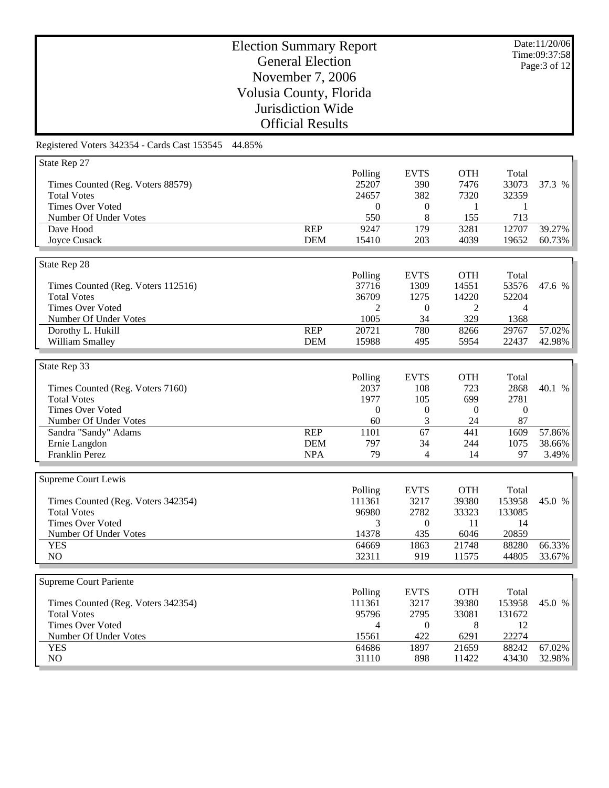Date:11/20/06 Time:09:37:58 Page:3 of 12

# Election Summary Report General Election November 7, 2006 Volusia County, Florida Jurisdiction Wide Official Results

| State Rep 27                       |            |                  |                  |                  |                  |        |
|------------------------------------|------------|------------------|------------------|------------------|------------------|--------|
|                                    |            | Polling          | <b>EVTS</b>      | <b>OTH</b>       | Total            |        |
| Times Counted (Reg. Voters 88579)  |            | 25207            | 390              | 7476             | 33073            | 37.3 % |
| <b>Total Votes</b>                 |            | 24657            | 382              | 7320             | 32359            |        |
| <b>Times Over Voted</b>            |            | $\theta$         | $\overline{0}$   | 1                | 1                |        |
|                                    |            | 550              |                  | 155              |                  |        |
| Number Of Under Votes              |            |                  | 8                |                  | 713              |        |
| Dave Hood                          | <b>REP</b> | 9247             | 179              | 3281             | 12707            | 39.27% |
| Joyce Cusack                       | <b>DEM</b> | 15410            | 203              | 4039             | 19652            | 60.73% |
|                                    |            |                  |                  |                  |                  |        |
| State Rep 28                       |            |                  |                  |                  |                  |        |
|                                    |            | Polling          | <b>EVTS</b>      | <b>OTH</b>       | Total            |        |
| Times Counted (Reg. Voters 112516) |            | 37716            | 1309             | 14551            | 53576            | 47.6 % |
| <b>Total Votes</b>                 |            | 36709            | 1275             | 14220            | 52204            |        |
| <b>Times Over Voted</b>            |            | 2                | $\boldsymbol{0}$ | 2                | 4                |        |
| Number Of Under Votes              |            | 1005             | 34               | 329              | 1368             |        |
|                                    | <b>REP</b> | 20721            | 780              |                  |                  | 57.02% |
| Dorothy L. Hukill                  |            |                  |                  | 8266             | 29767            |        |
| William Smalley                    | <b>DEM</b> | 15988            | 495              | 5954             | 22437            | 42.98% |
|                                    |            |                  |                  |                  |                  |        |
| State Rep 33                       |            |                  |                  |                  |                  |        |
|                                    |            | Polling          | <b>EVTS</b>      | <b>OTH</b>       | Total            |        |
| Times Counted (Reg. Voters 7160)   |            | 2037             | 108              | 723              | 2868             | 40.1 % |
| <b>Total Votes</b>                 |            | 1977             | 105              | 699              | 2781             |        |
| <b>Times Over Voted</b>            |            | $\boldsymbol{0}$ | $\boldsymbol{0}$ | $\boldsymbol{0}$ | $\boldsymbol{0}$ |        |
| Number Of Under Votes              |            | 60               | 3                | 24               | 87               |        |
| Sandra "Sandy" Adams               | <b>REP</b> | 1101             | 67               | 441              | 1609             | 57.86% |
| Ernie Langdon                      | <b>DEM</b> | 797              | 34               | 244              | 1075             | 38.66% |
|                                    |            |                  |                  |                  |                  |        |
| Franklin Perez                     | <b>NPA</b> | 79               | $\overline{4}$   | 14               | 97               | 3.49%  |
|                                    |            |                  |                  |                  |                  |        |
| Supreme Court Lewis                |            |                  |                  |                  |                  |        |
|                                    |            | Polling          | <b>EVTS</b>      | <b>OTH</b>       | Total            |        |
| Times Counted (Reg. Voters 342354) |            | 111361           | 3217             | 39380            | 153958           | 45.0 % |
| <b>Total Votes</b>                 |            | 96980            | 2782             | 33323            | 133085           |        |
| <b>Times Over Voted</b>            |            | 3                | $\overline{0}$   | 11               | 14               |        |
| Number Of Under Votes              |            | 14378            | 435              | 6046             | 20859            |        |
| <b>YES</b>                         |            | 64669            | 1863             | 21748            | 88280            | 66.33% |
| NO                                 |            | 32311            | 919              | 11575            | 44805            | 33.67% |
|                                    |            |                  |                  |                  |                  |        |
|                                    |            |                  |                  |                  |                  |        |
| <b>Supreme Court Pariente</b>      |            |                  |                  |                  |                  |        |
|                                    |            | Polling          | <b>EVTS</b>      | <b>OTH</b>       | Total            |        |
| Times Counted (Reg. Voters 342354) |            | 111361           | 3217             | 39380            | 153958           | 45.0 % |
| <b>Total Votes</b>                 |            | 95796            | 2795             | 33081            | 131672           |        |
| <b>Times Over Voted</b>            |            | 4                | $\overline{0}$   | 8                | 12               |        |
| Number Of Under Votes              |            | 15561            | 422              | 6291             | 22274            |        |
| <b>YES</b>                         |            | 64686            | 1897             | 21659            | 88242            | 67.02% |
| NO                                 |            | 31110            | 898              | 11422            | 43430            | 32.98% |
|                                    |            |                  |                  |                  |                  |        |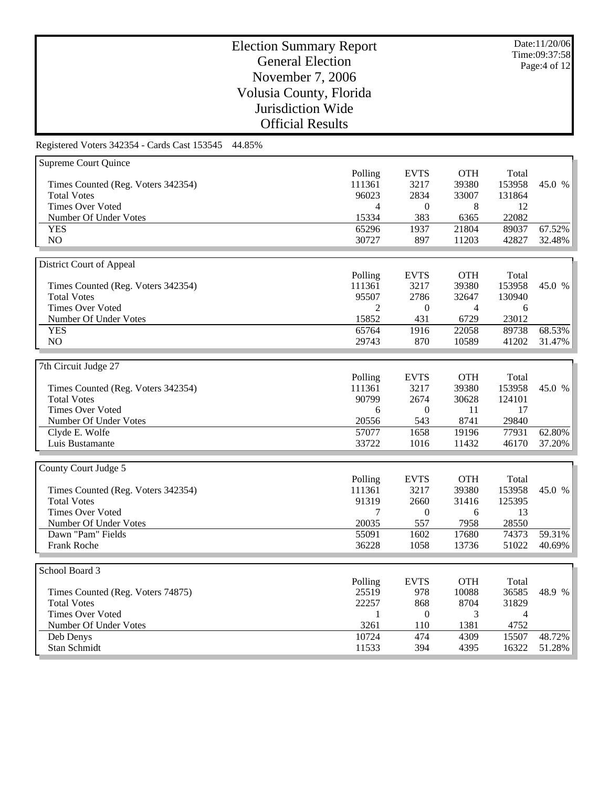Date:11/20/06 Time:09:37:58 Page:4 of 12

# Election Summary Report General Election November 7, 2006 Volusia County, Florida Jurisdiction Wide Official Results

| Supreme Court Quince               |                |                  |            |                |        |
|------------------------------------|----------------|------------------|------------|----------------|--------|
|                                    | Polling        | <b>EVTS</b>      | <b>OTH</b> | Total          |        |
| Times Counted (Reg. Voters 342354) | 111361         | 3217             | 39380      | 153958         | 45.0 % |
| <b>Total Votes</b>                 | 96023          | 2834             | 33007      | 131864         |        |
| <b>Times Over Voted</b>            | $\overline{4}$ | $\boldsymbol{0}$ | 8          | 12             |        |
| Number Of Under Votes              | 15334          | 383              | 6365       | 22082          |        |
| <b>YES</b>                         | 65296          | 1937             | 21804      | 89037          | 67.52% |
| NO                                 | 30727          | 897              | 11203      | 42827          | 32.48% |
|                                    |                |                  |            |                |        |
| District Court of Appeal           |                |                  |            |                |        |
|                                    | Polling        | <b>EVTS</b>      | <b>OTH</b> | Total          |        |
| Times Counted (Reg. Voters 342354) | 111361         | 3217             | 39380      | 153958         | 45.0 % |
| <b>Total Votes</b>                 | 95507          | 2786             | 32647      | 130940         |        |
| <b>Times Over Voted</b>            | $\overline{2}$ | $\boldsymbol{0}$ | 4          | 6              |        |
| Number Of Under Votes              | 15852          | 431              | 6729       | 23012          |        |
| <b>YES</b>                         | 65764          | 1916             | 22058      | 89738          | 68.53% |
| NO                                 | 29743          | 870              | 10589      | 41202          | 31.47% |
|                                    |                |                  |            |                |        |
| 7th Circuit Judge 27               |                |                  |            |                |        |
|                                    | Polling        | <b>EVTS</b>      | <b>OTH</b> | Total          |        |
| Times Counted (Reg. Voters 342354) | 111361         | 3217             | 39380      | 153958         | 45.0 % |
| <b>Total Votes</b>                 | 90799          | 2674             | 30628      | 124101         |        |
| <b>Times Over Voted</b>            | 6              | $\boldsymbol{0}$ | 11         | 17             |        |
| Number Of Under Votes              | 20556          | 543              | 8741       | 29840          |        |
| Clyde E. Wolfe                     | 57077          | 1658             | 19196      | 77931          | 62.80% |
| Luis Bustamante                    | 33722          | 1016             | 11432      | 46170          | 37.20% |
|                                    |                |                  |            |                |        |
|                                    |                |                  |            |                |        |
| County Court Judge 5               |                |                  |            |                |        |
|                                    | Polling        | <b>EVTS</b>      | <b>OTH</b> | Total          |        |
| Times Counted (Reg. Voters 342354) | 111361         | 3217             | 39380      | 153958         | 45.0 % |
| <b>Total Votes</b>                 | 91319          | 2660             | 31416      | 125395         |        |
| <b>Times Over Voted</b>            | 7              | $\boldsymbol{0}$ | 6          | 13             |        |
| Number Of Under Votes              | 20035          | 557              | 7958       | 28550          |        |
| Dawn "Pam" Fields                  | 55091          | 1602             | 17680      | 74373          | 59.31% |
| Frank Roche                        | 36228          | 1058             | 13736      | 51022          | 40.69% |
|                                    |                |                  |            |                |        |
| School Board 3                     |                |                  |            |                |        |
|                                    | Polling        | <b>EVTS</b>      | <b>OTH</b> | Total          |        |
| Times Counted (Reg. Voters 74875)  | 25519          | 978              | 10088      | 36585          | 48.9 % |
| <b>Total Votes</b>                 | 22257          | 868              | 8704       | 31829          |        |
| <b>Times Over Voted</b>            | $\mathbf{1}$   | $\mathbf{0}$     | 3          | $\overline{4}$ |        |
| Number Of Under Votes              | 3261           | 110              | 1381       | 4752           |        |
| Deb Denys                          | 10724          | 474              | 4309       | 15507          | 48.72% |
| Stan Schmidt                       | 11533          | 394              | 4395       | 16322          | 51.28% |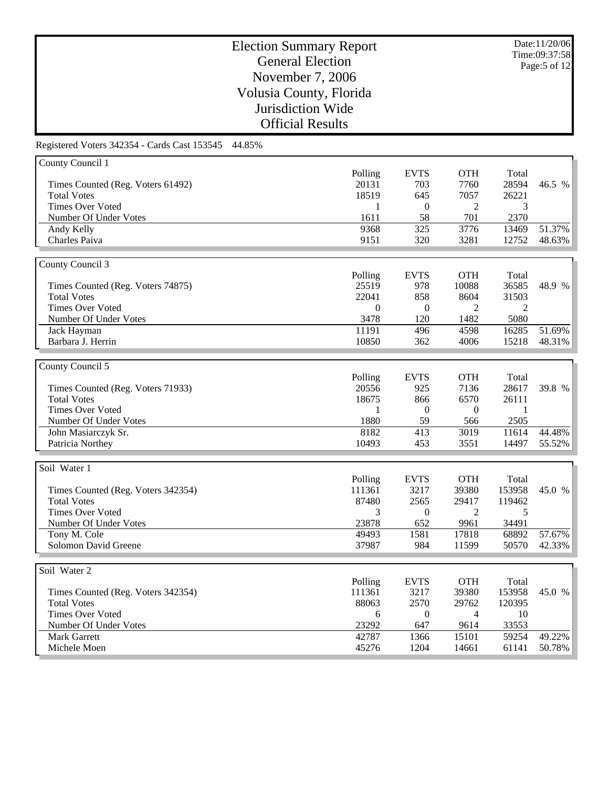Date:11/20/06 Time:09:37:58 Page:5 of 12

# Election Summary Report General Election November 7, 2006 Volusia County, Florida Jurisdiction Wide Official Results

| County Council 1                   |          |                  |                |                |        |
|------------------------------------|----------|------------------|----------------|----------------|--------|
|                                    | Polling  | <b>EVTS</b>      | <b>OTH</b>     | Total          |        |
| Times Counted (Reg. Voters 61492)  | 20131    | 703              | 7760           | 28594          | 46.5 % |
| <b>Total Votes</b>                 | 18519    | 645              | 7057           | 26221          |        |
| <b>Times Over Voted</b>            | 1        | $\overline{0}$   | 2              | 3              |        |
| Number Of Under Votes              | 1611     | 58               | 701            | 2370           |        |
| Andy Kelly                         | 9368     | 325              | 3776           | 13469          | 51.37% |
| Charles Paiva                      | 9151     | 320              | 3281           | 12752          | 48.63% |
|                                    |          |                  |                |                |        |
| County Council 3                   |          |                  |                |                |        |
|                                    | Polling  | <b>EVTS</b>      | <b>OTH</b>     | Total          |        |
| Times Counted (Reg. Voters 74875)  | 25519    | 978              | 10088          | 36585          | 48.9 % |
| <b>Total Votes</b>                 | 22041    | 858              | 8604           | 31503          |        |
| <b>Times Over Voted</b>            | $\theta$ | $\mathbf{0}$     | 2              | $\overline{2}$ |        |
|                                    |          |                  |                |                |        |
| Number Of Under Votes              | 3478     | 120              | 1482           | 5080           |        |
| Jack Hayman                        | 11191    | 496              | 4598           | 16285          | 51.69% |
| Barbara J. Herrin                  | 10850    | 362              | 4006           | 15218          | 48.31% |
|                                    |          |                  |                |                |        |
| County Council 5                   |          |                  |                |                |        |
|                                    | Polling  | <b>EVTS</b>      | <b>OTH</b>     | Total          |        |
| Times Counted (Reg. Voters 71933)  | 20556    | 925              | 7136           | 28617          | 39.8 % |
| <b>Total Votes</b>                 | 18675    | 866              | 6570           | 26111          |        |
| <b>Times Over Voted</b>            | 1        | $\overline{0}$   | $\overline{0}$ | 1              |        |
| Number Of Under Votes              | 1880     | 59               | 566            | 2505           |        |
| John Masiarczyk Sr.                | 8182     | 413              | 3019           | 11614          | 44.48% |
| Patricia Northey                   | 10493    | 453              | 3551           | 14497          | 55.52% |
|                                    |          |                  |                |                |        |
| Soil Water 1                       |          |                  |                |                |        |
|                                    | Polling  | <b>EVTS</b>      | <b>OTH</b>     | Total          |        |
| Times Counted (Reg. Voters 342354) | 111361   | 3217             | 39380          | 153958         | 45.0 % |
| <b>Total Votes</b>                 | 87480    | 2565             | 29417          | 119462         |        |
| <b>Times Over Voted</b>            | 3        | $\boldsymbol{0}$ | 2              | 5              |        |
| Number Of Under Votes              | 23878    | 652              | 9961           | 34491          |        |
| Tony M. Cole                       | 49493    | 1581             | 17818          | 68892          | 57.67% |
| Solomon David Greene               | 37987    | 984              | 11599          | 50570          | 42.33% |
|                                    |          |                  |                |                |        |
| Soil Water 2                       |          |                  |                |                |        |
|                                    | Polling  | <b>EVTS</b>      | <b>OTH</b>     | Total          |        |
|                                    | 111361   | 3217             | 39380          | 153958         | 45.0 % |
| Times Counted (Reg. Voters 342354) |          |                  |                |                |        |
| <b>Total Votes</b>                 | 88063    | 2570             | 29762          | 120395         |        |
| <b>Times Over Voted</b>            | 6        | $\overline{0}$   | $\overline{4}$ | 10             |        |
| Number Of Under Votes              | 23292    | 647              | 9614           | 33553          | 49.22% |
| <b>Mark Garrett</b>                | 42787    | 1366             | 15101          | 59254          |        |
| Michele Moen                       | 45276    | 1204             | 14661          | 61141          | 50.78% |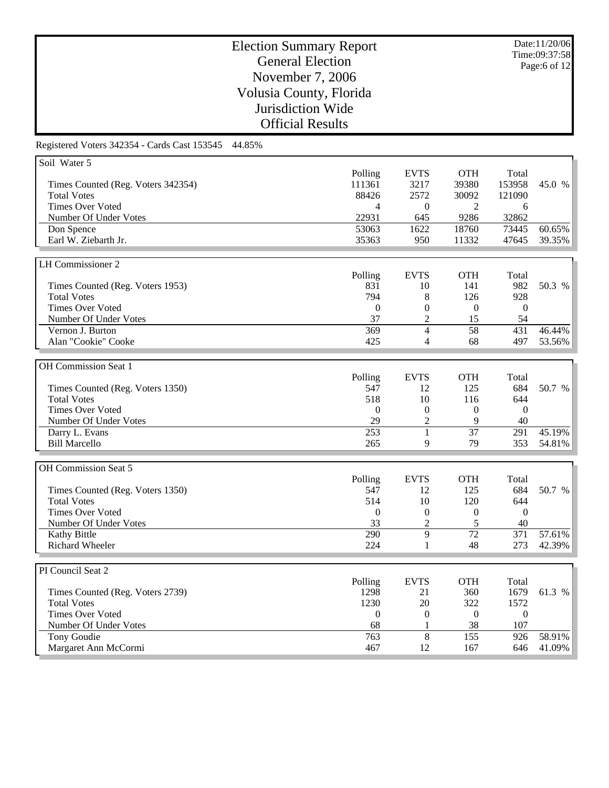Date:11/20/06 Time:09:37:58 Page:6 of 12

# Election Summary Report General Election November 7, 2006 Volusia County, Florida Jurisdiction Wide Official Results

| Polling<br><b>EVTS</b><br><b>OTH</b><br>Total<br>111361<br>3217<br>39380<br>153958<br>Times Counted (Reg. Voters 342354)<br>45.0 %<br>88426<br>2572<br><b>Total Votes</b><br>30092<br>121090<br><b>Times Over Voted</b><br>$\overline{0}$<br>2<br>4<br>6<br>22931<br>32862<br>Number Of Under Votes<br>645<br>9286<br>53063<br>1622<br>18760<br>73445<br>60.65%<br>Don Spence<br>Earl W. Ziebarth Jr.<br>35363<br>39.35%<br>950<br>11332<br>47645<br>LH Commissioner 2<br>Polling<br><b>EVTS</b><br><b>OTH</b><br>Total<br>831<br>141<br>982<br>50.3 %<br>Times Counted (Reg. Voters 1953)<br>10<br><b>Total Votes</b><br>794<br>126<br>8<br>928<br><b>Times Over Voted</b><br>$\theta$<br>$\mathbf{0}$<br>$\mathbf{0}$<br>$\overline{0}$<br>37<br>$\mathfrak{2}$<br>Number Of Under Votes<br>15<br>54<br>$\overline{58}$<br>Vernon J. Burton<br>369<br>$\overline{4}$<br>431<br>46.44%<br>Alan "Cookie" Cooke<br>425<br>68<br>497<br>53.56%<br>$\overline{4}$<br>OH Commission Seat 1<br>Polling<br><b>EVTS</b><br><b>OTH</b><br>Total<br>547<br>125<br>684<br>50.7 %<br>Times Counted (Reg. Voters 1350)<br>12<br><b>Total Votes</b><br>518<br>10<br>644<br>116<br><b>Times Over Voted</b><br>$\boldsymbol{0}$<br>$\Omega$<br>$\overline{0}$<br>$\overline{0}$<br>29<br>$\overline{2}$<br>9<br>Number Of Under Votes<br>40<br>45.19%<br>253<br>$\mathbf{1}$<br>37<br>Darry L. Evans<br>291<br><b>Bill Marcello</b><br>265<br>79<br>353<br>54.81%<br>9<br>OH Commission Seat 5<br>Polling<br><b>EVTS</b><br><b>OTH</b><br>Total<br>547<br>125<br>684<br>Times Counted (Reg. Voters 1350)<br>12<br>50.7 %<br><b>Total Votes</b><br>514<br>10<br>120<br>644<br><b>Times Over Voted</b><br>$\theta$<br>$\overline{0}$<br>$\boldsymbol{0}$<br>$\overline{0}$<br>33<br>5<br>40<br>Number Of Under Votes<br>$\overline{c}$<br>290<br>9<br>$\overline{72}$<br>Kathy Bittle<br>371<br>57.61%<br><b>Richard Wheeler</b><br>224<br>48<br>273<br>42.39%<br>1<br>PI Council Seat 2<br><b>EVTS</b><br><b>OTH</b><br>Polling<br>Total<br>1679<br>61.3 %<br>Times Counted (Reg. Voters 2739)<br>1298<br>21<br>360<br><b>Total Votes</b><br>1230<br>20<br>322<br>1572<br><b>Times Over Voted</b><br>$\boldsymbol{0}$<br>$\boldsymbol{0}$<br>$\boldsymbol{0}$<br>$\boldsymbol{0}$<br>38<br>Number Of Under Votes<br>68<br>107<br>1<br>8<br>Tony Goudie<br>763<br>155<br>926<br>58.91%<br>Margaret Ann McCormi<br>41.09%<br>467<br>12<br>167<br>646 | Soil Water 5 |  |  |  |
|------------------------------------------------------------------------------------------------------------------------------------------------------------------------------------------------------------------------------------------------------------------------------------------------------------------------------------------------------------------------------------------------------------------------------------------------------------------------------------------------------------------------------------------------------------------------------------------------------------------------------------------------------------------------------------------------------------------------------------------------------------------------------------------------------------------------------------------------------------------------------------------------------------------------------------------------------------------------------------------------------------------------------------------------------------------------------------------------------------------------------------------------------------------------------------------------------------------------------------------------------------------------------------------------------------------------------------------------------------------------------------------------------------------------------------------------------------------------------------------------------------------------------------------------------------------------------------------------------------------------------------------------------------------------------------------------------------------------------------------------------------------------------------------------------------------------------------------------------------------------------------------------------------------------------------------------------------------------------------------------------------------------------------------------------------------------------------------------------------------------------------------------------------------------------------------------------------------------------------------------------------------------------------------------------------------------------------------------------------------------------------------------------------------------------------|--------------|--|--|--|
|                                                                                                                                                                                                                                                                                                                                                                                                                                                                                                                                                                                                                                                                                                                                                                                                                                                                                                                                                                                                                                                                                                                                                                                                                                                                                                                                                                                                                                                                                                                                                                                                                                                                                                                                                                                                                                                                                                                                                                                                                                                                                                                                                                                                                                                                                                                                                                                                                                    |              |  |  |  |
|                                                                                                                                                                                                                                                                                                                                                                                                                                                                                                                                                                                                                                                                                                                                                                                                                                                                                                                                                                                                                                                                                                                                                                                                                                                                                                                                                                                                                                                                                                                                                                                                                                                                                                                                                                                                                                                                                                                                                                                                                                                                                                                                                                                                                                                                                                                                                                                                                                    |              |  |  |  |
|                                                                                                                                                                                                                                                                                                                                                                                                                                                                                                                                                                                                                                                                                                                                                                                                                                                                                                                                                                                                                                                                                                                                                                                                                                                                                                                                                                                                                                                                                                                                                                                                                                                                                                                                                                                                                                                                                                                                                                                                                                                                                                                                                                                                                                                                                                                                                                                                                                    |              |  |  |  |
|                                                                                                                                                                                                                                                                                                                                                                                                                                                                                                                                                                                                                                                                                                                                                                                                                                                                                                                                                                                                                                                                                                                                                                                                                                                                                                                                                                                                                                                                                                                                                                                                                                                                                                                                                                                                                                                                                                                                                                                                                                                                                                                                                                                                                                                                                                                                                                                                                                    |              |  |  |  |
|                                                                                                                                                                                                                                                                                                                                                                                                                                                                                                                                                                                                                                                                                                                                                                                                                                                                                                                                                                                                                                                                                                                                                                                                                                                                                                                                                                                                                                                                                                                                                                                                                                                                                                                                                                                                                                                                                                                                                                                                                                                                                                                                                                                                                                                                                                                                                                                                                                    |              |  |  |  |
|                                                                                                                                                                                                                                                                                                                                                                                                                                                                                                                                                                                                                                                                                                                                                                                                                                                                                                                                                                                                                                                                                                                                                                                                                                                                                                                                                                                                                                                                                                                                                                                                                                                                                                                                                                                                                                                                                                                                                                                                                                                                                                                                                                                                                                                                                                                                                                                                                                    |              |  |  |  |
|                                                                                                                                                                                                                                                                                                                                                                                                                                                                                                                                                                                                                                                                                                                                                                                                                                                                                                                                                                                                                                                                                                                                                                                                                                                                                                                                                                                                                                                                                                                                                                                                                                                                                                                                                                                                                                                                                                                                                                                                                                                                                                                                                                                                                                                                                                                                                                                                                                    |              |  |  |  |
|                                                                                                                                                                                                                                                                                                                                                                                                                                                                                                                                                                                                                                                                                                                                                                                                                                                                                                                                                                                                                                                                                                                                                                                                                                                                                                                                                                                                                                                                                                                                                                                                                                                                                                                                                                                                                                                                                                                                                                                                                                                                                                                                                                                                                                                                                                                                                                                                                                    |              |  |  |  |
|                                                                                                                                                                                                                                                                                                                                                                                                                                                                                                                                                                                                                                                                                                                                                                                                                                                                                                                                                                                                                                                                                                                                                                                                                                                                                                                                                                                                                                                                                                                                                                                                                                                                                                                                                                                                                                                                                                                                                                                                                                                                                                                                                                                                                                                                                                                                                                                                                                    |              |  |  |  |
|                                                                                                                                                                                                                                                                                                                                                                                                                                                                                                                                                                                                                                                                                                                                                                                                                                                                                                                                                                                                                                                                                                                                                                                                                                                                                                                                                                                                                                                                                                                                                                                                                                                                                                                                                                                                                                                                                                                                                                                                                                                                                                                                                                                                                                                                                                                                                                                                                                    |              |  |  |  |
|                                                                                                                                                                                                                                                                                                                                                                                                                                                                                                                                                                                                                                                                                                                                                                                                                                                                                                                                                                                                                                                                                                                                                                                                                                                                                                                                                                                                                                                                                                                                                                                                                                                                                                                                                                                                                                                                                                                                                                                                                                                                                                                                                                                                                                                                                                                                                                                                                                    |              |  |  |  |
|                                                                                                                                                                                                                                                                                                                                                                                                                                                                                                                                                                                                                                                                                                                                                                                                                                                                                                                                                                                                                                                                                                                                                                                                                                                                                                                                                                                                                                                                                                                                                                                                                                                                                                                                                                                                                                                                                                                                                                                                                                                                                                                                                                                                                                                                                                                                                                                                                                    |              |  |  |  |
|                                                                                                                                                                                                                                                                                                                                                                                                                                                                                                                                                                                                                                                                                                                                                                                                                                                                                                                                                                                                                                                                                                                                                                                                                                                                                                                                                                                                                                                                                                                                                                                                                                                                                                                                                                                                                                                                                                                                                                                                                                                                                                                                                                                                                                                                                                                                                                                                                                    |              |  |  |  |
|                                                                                                                                                                                                                                                                                                                                                                                                                                                                                                                                                                                                                                                                                                                                                                                                                                                                                                                                                                                                                                                                                                                                                                                                                                                                                                                                                                                                                                                                                                                                                                                                                                                                                                                                                                                                                                                                                                                                                                                                                                                                                                                                                                                                                                                                                                                                                                                                                                    |              |  |  |  |
|                                                                                                                                                                                                                                                                                                                                                                                                                                                                                                                                                                                                                                                                                                                                                                                                                                                                                                                                                                                                                                                                                                                                                                                                                                                                                                                                                                                                                                                                                                                                                                                                                                                                                                                                                                                                                                                                                                                                                                                                                                                                                                                                                                                                                                                                                                                                                                                                                                    |              |  |  |  |
|                                                                                                                                                                                                                                                                                                                                                                                                                                                                                                                                                                                                                                                                                                                                                                                                                                                                                                                                                                                                                                                                                                                                                                                                                                                                                                                                                                                                                                                                                                                                                                                                                                                                                                                                                                                                                                                                                                                                                                                                                                                                                                                                                                                                                                                                                                                                                                                                                                    |              |  |  |  |
|                                                                                                                                                                                                                                                                                                                                                                                                                                                                                                                                                                                                                                                                                                                                                                                                                                                                                                                                                                                                                                                                                                                                                                                                                                                                                                                                                                                                                                                                                                                                                                                                                                                                                                                                                                                                                                                                                                                                                                                                                                                                                                                                                                                                                                                                                                                                                                                                                                    |              |  |  |  |
|                                                                                                                                                                                                                                                                                                                                                                                                                                                                                                                                                                                                                                                                                                                                                                                                                                                                                                                                                                                                                                                                                                                                                                                                                                                                                                                                                                                                                                                                                                                                                                                                                                                                                                                                                                                                                                                                                                                                                                                                                                                                                                                                                                                                                                                                                                                                                                                                                                    |              |  |  |  |
|                                                                                                                                                                                                                                                                                                                                                                                                                                                                                                                                                                                                                                                                                                                                                                                                                                                                                                                                                                                                                                                                                                                                                                                                                                                                                                                                                                                                                                                                                                                                                                                                                                                                                                                                                                                                                                                                                                                                                                                                                                                                                                                                                                                                                                                                                                                                                                                                                                    |              |  |  |  |
|                                                                                                                                                                                                                                                                                                                                                                                                                                                                                                                                                                                                                                                                                                                                                                                                                                                                                                                                                                                                                                                                                                                                                                                                                                                                                                                                                                                                                                                                                                                                                                                                                                                                                                                                                                                                                                                                                                                                                                                                                                                                                                                                                                                                                                                                                                                                                                                                                                    |              |  |  |  |
|                                                                                                                                                                                                                                                                                                                                                                                                                                                                                                                                                                                                                                                                                                                                                                                                                                                                                                                                                                                                                                                                                                                                                                                                                                                                                                                                                                                                                                                                                                                                                                                                                                                                                                                                                                                                                                                                                                                                                                                                                                                                                                                                                                                                                                                                                                                                                                                                                                    |              |  |  |  |
|                                                                                                                                                                                                                                                                                                                                                                                                                                                                                                                                                                                                                                                                                                                                                                                                                                                                                                                                                                                                                                                                                                                                                                                                                                                                                                                                                                                                                                                                                                                                                                                                                                                                                                                                                                                                                                                                                                                                                                                                                                                                                                                                                                                                                                                                                                                                                                                                                                    |              |  |  |  |
|                                                                                                                                                                                                                                                                                                                                                                                                                                                                                                                                                                                                                                                                                                                                                                                                                                                                                                                                                                                                                                                                                                                                                                                                                                                                                                                                                                                                                                                                                                                                                                                                                                                                                                                                                                                                                                                                                                                                                                                                                                                                                                                                                                                                                                                                                                                                                                                                                                    |              |  |  |  |
|                                                                                                                                                                                                                                                                                                                                                                                                                                                                                                                                                                                                                                                                                                                                                                                                                                                                                                                                                                                                                                                                                                                                                                                                                                                                                                                                                                                                                                                                                                                                                                                                                                                                                                                                                                                                                                                                                                                                                                                                                                                                                                                                                                                                                                                                                                                                                                                                                                    |              |  |  |  |
|                                                                                                                                                                                                                                                                                                                                                                                                                                                                                                                                                                                                                                                                                                                                                                                                                                                                                                                                                                                                                                                                                                                                                                                                                                                                                                                                                                                                                                                                                                                                                                                                                                                                                                                                                                                                                                                                                                                                                                                                                                                                                                                                                                                                                                                                                                                                                                                                                                    |              |  |  |  |
|                                                                                                                                                                                                                                                                                                                                                                                                                                                                                                                                                                                                                                                                                                                                                                                                                                                                                                                                                                                                                                                                                                                                                                                                                                                                                                                                                                                                                                                                                                                                                                                                                                                                                                                                                                                                                                                                                                                                                                                                                                                                                                                                                                                                                                                                                                                                                                                                                                    |              |  |  |  |
|                                                                                                                                                                                                                                                                                                                                                                                                                                                                                                                                                                                                                                                                                                                                                                                                                                                                                                                                                                                                                                                                                                                                                                                                                                                                                                                                                                                                                                                                                                                                                                                                                                                                                                                                                                                                                                                                                                                                                                                                                                                                                                                                                                                                                                                                                                                                                                                                                                    |              |  |  |  |
|                                                                                                                                                                                                                                                                                                                                                                                                                                                                                                                                                                                                                                                                                                                                                                                                                                                                                                                                                                                                                                                                                                                                                                                                                                                                                                                                                                                                                                                                                                                                                                                                                                                                                                                                                                                                                                                                                                                                                                                                                                                                                                                                                                                                                                                                                                                                                                                                                                    |              |  |  |  |
|                                                                                                                                                                                                                                                                                                                                                                                                                                                                                                                                                                                                                                                                                                                                                                                                                                                                                                                                                                                                                                                                                                                                                                                                                                                                                                                                                                                                                                                                                                                                                                                                                                                                                                                                                                                                                                                                                                                                                                                                                                                                                                                                                                                                                                                                                                                                                                                                                                    |              |  |  |  |
|                                                                                                                                                                                                                                                                                                                                                                                                                                                                                                                                                                                                                                                                                                                                                                                                                                                                                                                                                                                                                                                                                                                                                                                                                                                                                                                                                                                                                                                                                                                                                                                                                                                                                                                                                                                                                                                                                                                                                                                                                                                                                                                                                                                                                                                                                                                                                                                                                                    |              |  |  |  |
|                                                                                                                                                                                                                                                                                                                                                                                                                                                                                                                                                                                                                                                                                                                                                                                                                                                                                                                                                                                                                                                                                                                                                                                                                                                                                                                                                                                                                                                                                                                                                                                                                                                                                                                                                                                                                                                                                                                                                                                                                                                                                                                                                                                                                                                                                                                                                                                                                                    |              |  |  |  |
|                                                                                                                                                                                                                                                                                                                                                                                                                                                                                                                                                                                                                                                                                                                                                                                                                                                                                                                                                                                                                                                                                                                                                                                                                                                                                                                                                                                                                                                                                                                                                                                                                                                                                                                                                                                                                                                                                                                                                                                                                                                                                                                                                                                                                                                                                                                                                                                                                                    |              |  |  |  |
|                                                                                                                                                                                                                                                                                                                                                                                                                                                                                                                                                                                                                                                                                                                                                                                                                                                                                                                                                                                                                                                                                                                                                                                                                                                                                                                                                                                                                                                                                                                                                                                                                                                                                                                                                                                                                                                                                                                                                                                                                                                                                                                                                                                                                                                                                                                                                                                                                                    |              |  |  |  |
|                                                                                                                                                                                                                                                                                                                                                                                                                                                                                                                                                                                                                                                                                                                                                                                                                                                                                                                                                                                                                                                                                                                                                                                                                                                                                                                                                                                                                                                                                                                                                                                                                                                                                                                                                                                                                                                                                                                                                                                                                                                                                                                                                                                                                                                                                                                                                                                                                                    |              |  |  |  |
|                                                                                                                                                                                                                                                                                                                                                                                                                                                                                                                                                                                                                                                                                                                                                                                                                                                                                                                                                                                                                                                                                                                                                                                                                                                                                                                                                                                                                                                                                                                                                                                                                                                                                                                                                                                                                                                                                                                                                                                                                                                                                                                                                                                                                                                                                                                                                                                                                                    |              |  |  |  |
|                                                                                                                                                                                                                                                                                                                                                                                                                                                                                                                                                                                                                                                                                                                                                                                                                                                                                                                                                                                                                                                                                                                                                                                                                                                                                                                                                                                                                                                                                                                                                                                                                                                                                                                                                                                                                                                                                                                                                                                                                                                                                                                                                                                                                                                                                                                                                                                                                                    |              |  |  |  |
|                                                                                                                                                                                                                                                                                                                                                                                                                                                                                                                                                                                                                                                                                                                                                                                                                                                                                                                                                                                                                                                                                                                                                                                                                                                                                                                                                                                                                                                                                                                                                                                                                                                                                                                                                                                                                                                                                                                                                                                                                                                                                                                                                                                                                                                                                                                                                                                                                                    |              |  |  |  |
|                                                                                                                                                                                                                                                                                                                                                                                                                                                                                                                                                                                                                                                                                                                                                                                                                                                                                                                                                                                                                                                                                                                                                                                                                                                                                                                                                                                                                                                                                                                                                                                                                                                                                                                                                                                                                                                                                                                                                                                                                                                                                                                                                                                                                                                                                                                                                                                                                                    |              |  |  |  |
|                                                                                                                                                                                                                                                                                                                                                                                                                                                                                                                                                                                                                                                                                                                                                                                                                                                                                                                                                                                                                                                                                                                                                                                                                                                                                                                                                                                                                                                                                                                                                                                                                                                                                                                                                                                                                                                                                                                                                                                                                                                                                                                                                                                                                                                                                                                                                                                                                                    |              |  |  |  |
|                                                                                                                                                                                                                                                                                                                                                                                                                                                                                                                                                                                                                                                                                                                                                                                                                                                                                                                                                                                                                                                                                                                                                                                                                                                                                                                                                                                                                                                                                                                                                                                                                                                                                                                                                                                                                                                                                                                                                                                                                                                                                                                                                                                                                                                                                                                                                                                                                                    |              |  |  |  |
|                                                                                                                                                                                                                                                                                                                                                                                                                                                                                                                                                                                                                                                                                                                                                                                                                                                                                                                                                                                                                                                                                                                                                                                                                                                                                                                                                                                                                                                                                                                                                                                                                                                                                                                                                                                                                                                                                                                                                                                                                                                                                                                                                                                                                                                                                                                                                                                                                                    |              |  |  |  |
|                                                                                                                                                                                                                                                                                                                                                                                                                                                                                                                                                                                                                                                                                                                                                                                                                                                                                                                                                                                                                                                                                                                                                                                                                                                                                                                                                                                                                                                                                                                                                                                                                                                                                                                                                                                                                                                                                                                                                                                                                                                                                                                                                                                                                                                                                                                                                                                                                                    |              |  |  |  |
|                                                                                                                                                                                                                                                                                                                                                                                                                                                                                                                                                                                                                                                                                                                                                                                                                                                                                                                                                                                                                                                                                                                                                                                                                                                                                                                                                                                                                                                                                                                                                                                                                                                                                                                                                                                                                                                                                                                                                                                                                                                                                                                                                                                                                                                                                                                                                                                                                                    |              |  |  |  |
|                                                                                                                                                                                                                                                                                                                                                                                                                                                                                                                                                                                                                                                                                                                                                                                                                                                                                                                                                                                                                                                                                                                                                                                                                                                                                                                                                                                                                                                                                                                                                                                                                                                                                                                                                                                                                                                                                                                                                                                                                                                                                                                                                                                                                                                                                                                                                                                                                                    |              |  |  |  |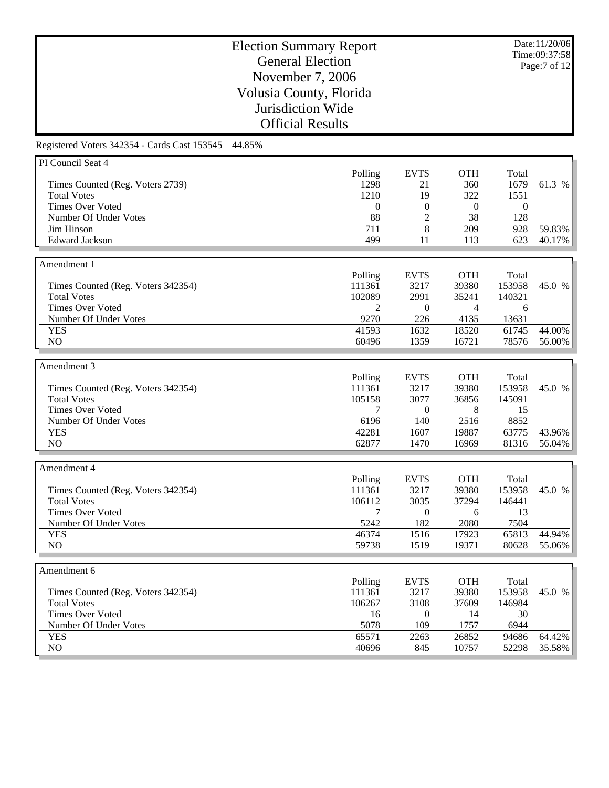Date:11/20/06 Time:09:37:58 Page:7 of 12

# Election Summary Report General Election November 7, 2006 Volusia County, Florida Jurisdiction Wide Official Results

| PI Council Seat 4                  |              |                  |                |                |        |
|------------------------------------|--------------|------------------|----------------|----------------|--------|
|                                    | Polling      | <b>EVTS</b>      | <b>OTH</b>     | Total          |        |
| Times Counted (Reg. Voters 2739)   | 1298         | 21               | 360            | 1679           | 61.3 % |
| <b>Total Votes</b>                 | 1210         | 19               | 322            | 1551           |        |
| <b>Times Over Voted</b>            | $\mathbf{0}$ | $\mathbf{0}$     | $\mathbf{0}$   | $\overline{0}$ |        |
| Number Of Under Votes              | 88           | $\overline{2}$   | 38             | 128            |        |
| Jim Hinson                         | 711          | 8                | 209            | 928            | 59.83% |
| <b>Edward Jackson</b>              | 499          | 11               | 113            | 623            | 40.17% |
|                                    |              |                  |                |                |        |
|                                    |              |                  |                |                |        |
| Amendment 1                        |              |                  |                |                |        |
|                                    | Polling      | <b>EVTS</b>      | <b>OTH</b>     | Total          |        |
| Times Counted (Reg. Voters 342354) | 111361       | 3217             | 39380          | 153958         | 45.0 % |
| <b>Total Votes</b>                 | 102089       | 2991             | 35241          | 140321         |        |
| <b>Times Over Voted</b>            | 2            | $\boldsymbol{0}$ | $\overline{4}$ | 6              |        |
| Number Of Under Votes              | 9270         | 226              | 4135           | 13631          |        |
| <b>YES</b>                         | 41593        | 1632             | 18520          | 61745          | 44.00% |
| NO                                 | 60496        | 1359             | 16721          | 78576          | 56.00% |
|                                    |              |                  |                |                |        |
| Amendment 3                        |              |                  |                |                |        |
|                                    | Polling      | <b>EVTS</b>      | <b>OTH</b>     | Total          |        |
| Times Counted (Reg. Voters 342354) | 111361       | 3217             | 39380          | 153958         | 45.0 % |
| <b>Total Votes</b>                 | 105158       | 3077             | 36856          | 145091         |        |
| <b>Times Over Voted</b>            | 7            | $\boldsymbol{0}$ | 8              | 15             |        |
| Number Of Under Votes              | 6196         | 140              | 2516           | 8852           |        |
| <b>YES</b>                         | 42281        | 1607             | 19887          | 63775          | 43.96% |
| NO                                 | 62877        | 1470             | 16969          | 81316          | 56.04% |
|                                    |              |                  |                |                |        |
|                                    |              |                  |                |                |        |
| Amendment 4                        |              |                  |                |                |        |
|                                    | Polling      | <b>EVTS</b>      | <b>OTH</b>     | Total          |        |
| Times Counted (Reg. Voters 342354) | 111361       | 3217             | 39380          | 153958         | 45.0 % |
| <b>Total Votes</b>                 | 106112       | 3035             | 37294          | 146441         |        |
| <b>Times Over Voted</b>            | 7            | $\overline{0}$   | 6              | 13             |        |
| Number Of Under Votes              | 5242         | 182              | 2080           | 7504           |        |
| <b>YES</b>                         | 46374        | 1516             | 17923          | 65813          | 44.94% |
| NO                                 | 59738        | 1519             | 19371          | 80628          | 55.06% |
|                                    |              |                  |                |                |        |
| Amendment 6                        |              |                  |                |                |        |
|                                    | Polling      | <b>EVTS</b>      | <b>OTH</b>     | Total          |        |
| Times Counted (Reg. Voters 342354) | 111361       | 3217             | 39380          | 153958         | 45.0 % |
| <b>Total Votes</b>                 | 106267       | 3108             | 37609          | 146984         |        |
| <b>Times Over Voted</b>            | 16           | $\mathbf{0}$     | 14             | 30             |        |
| Number Of Under Votes              | 5078         | 109              | 1757           | 6944           |        |
|                                    |              |                  |                |                |        |
| <b>YES</b>                         | 65571        | 2263             | 26852          | 94686          | 64.42% |
| NO                                 | 40696        | 845              | 10757          | 52298          | 35.58% |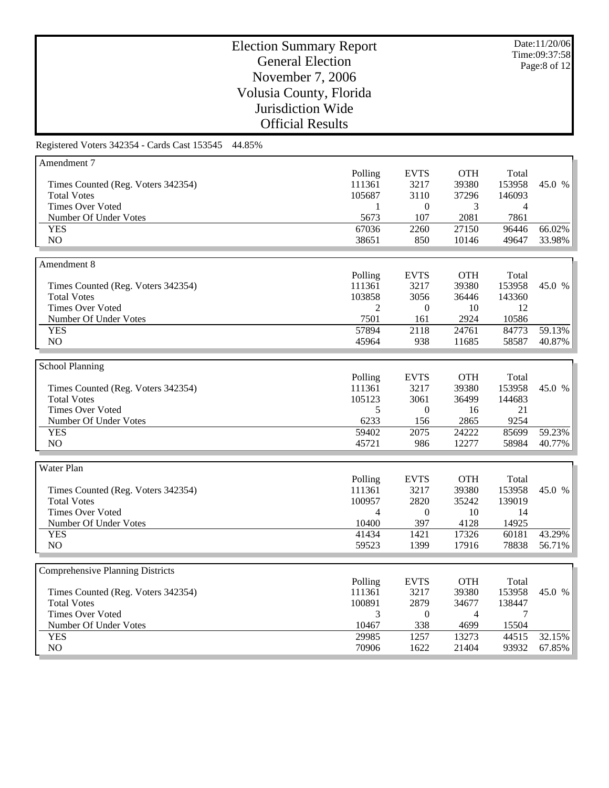Date:11/20/06 Time:09:37:58 Page:8 of 12

# Election Summary Report General Election November 7, 2006 Volusia County, Florida Jurisdiction Wide Official Results

| Amendment 7                             |                |                  |                |                |        |
|-----------------------------------------|----------------|------------------|----------------|----------------|--------|
|                                         | Polling        | <b>EVTS</b>      | <b>OTH</b>     | Total          |        |
| Times Counted (Reg. Voters 342354)      | 111361         | 3217             | 39380          | 153958         | 45.0 % |
| <b>Total Votes</b>                      | 105687         | 3110             | 37296          | 146093         |        |
| <b>Times Over Voted</b>                 | 1              | $\mathbf{0}$     | 3              | $\overline{4}$ |        |
| Number Of Under Votes                   | 5673           | 107              | 2081           | 7861           |        |
| <b>YES</b>                              | 67036          | 2260             | 27150          | 96446          | 66.02% |
| NO                                      | 38651          | 850              | 10146          | 49647          | 33.98% |
|                                         |                |                  |                |                |        |
| Amendment 8                             |                |                  |                |                |        |
|                                         |                |                  | <b>OTH</b>     |                |        |
|                                         | Polling        | <b>EVTS</b>      |                | Total          |        |
| Times Counted (Reg. Voters 342354)      | 111361         | 3217             | 39380          | 153958         | 45.0 % |
| <b>Total Votes</b>                      | 103858         | 3056             | 36446          | 143360         |        |
| <b>Times Over Voted</b>                 | 2              | $\boldsymbol{0}$ | 10             | 12             |        |
| Number Of Under Votes                   | 7501           | 161              | 2924           | 10586          |        |
| <b>YES</b>                              | 57894          | 2118             | 24761          | 84773          | 59.13% |
| NO                                      | 45964          | 938              | 11685          | 58587          | 40.87% |
|                                         |                |                  |                |                |        |
| <b>School Planning</b>                  |                |                  |                |                |        |
|                                         | Polling        | <b>EVTS</b>      | <b>OTH</b>     | Total          |        |
| Times Counted (Reg. Voters 342354)      | 111361         | 3217             | 39380          | 153958         | 45.0 % |
| <b>Total Votes</b>                      | 105123         | 3061             | 36499          | 144683         |        |
| <b>Times Over Voted</b>                 | 5              | $\boldsymbol{0}$ | 16             | 21             |        |
| Number Of Under Votes                   | 6233           | 156              | 2865           | 9254           |        |
| <b>YES</b>                              | 59402          | 2075             | 24222          | 85699          | 59.23% |
| N <sub>O</sub>                          | 45721          | 986              | 12277          | 58984          | 40.77% |
|                                         |                |                  |                |                |        |
|                                         |                |                  |                |                |        |
| Water Plan                              |                |                  |                |                |        |
|                                         | Polling        | <b>EVTS</b>      | <b>OTH</b>     | Total          |        |
| Times Counted (Reg. Voters 342354)      | 111361         | 3217             | 39380          | 153958         | 45.0 % |
| <b>Total Votes</b>                      | 100957         | 2820             | 35242          | 139019         |        |
| <b>Times Over Voted</b>                 | $\overline{4}$ | $\mathbf{0}$     | 10             | 14             |        |
| Number Of Under Votes                   | 10400          | 397              | 4128           | 14925          |        |
| <b>YES</b>                              | 41434          | 1421             | 17326          | 60181          | 43.29% |
| NO                                      | 59523          | 1399             | 17916          | 78838          | 56.71% |
|                                         |                |                  |                |                |        |
| <b>Comprehensive Planning Districts</b> |                |                  |                |                |        |
|                                         | Polling        | <b>EVTS</b>      | <b>OTH</b>     | Total          |        |
| Times Counted (Reg. Voters 342354)      | 111361         | 3217             | 39380          | 153958         | 45.0 % |
| <b>Total Votes</b>                      | 100891         | 2879             | 34677          | 138447         |        |
| <b>Times Over Voted</b>                 | 3              | $\overline{0}$   | $\overline{4}$ | 7              |        |
| Number Of Under Votes                   | 10467          | 338              | 4699           | 15504          |        |
| <b>YES</b>                              | 29985          | 1257             | 13273          | 44515          | 32.15% |
| NO                                      | 70906          | 1622             | 21404          | 93932          | 67.85% |
|                                         |                |                  |                |                |        |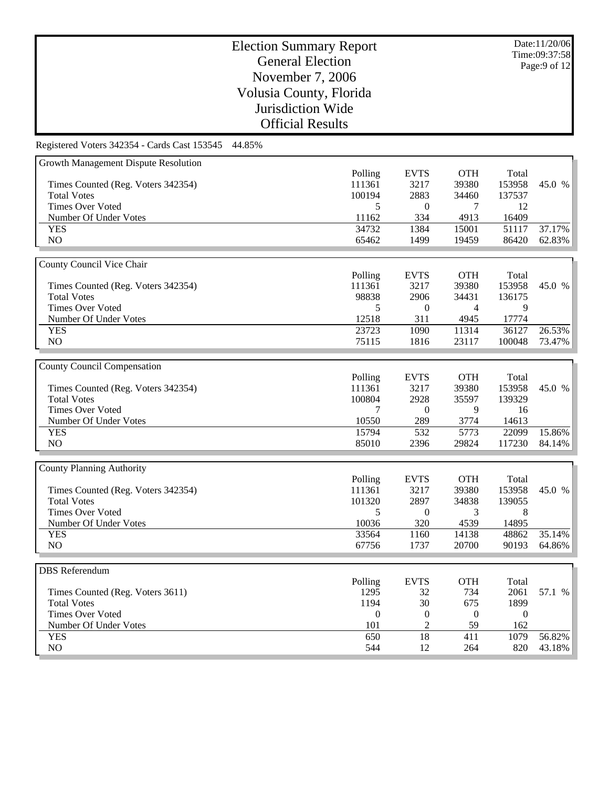Date:11/20/06 Time:09:37:58 Page:9 of 12

# Election Summary Report General Election November 7, 2006 Volusia County, Florida Jurisdiction Wide Official Results

| Growth Management Dispute Resolution                     |                  |                  |                  |                |        |
|----------------------------------------------------------|------------------|------------------|------------------|----------------|--------|
|                                                          | Polling          | <b>EVTS</b>      | <b>OTH</b>       | Total          |        |
| Times Counted (Reg. Voters 342354)                       | 111361           | 3217             | 39380            | 153958         | 45.0 % |
| <b>Total Votes</b>                                       | 100194           | 2883             | 34460            | 137537         |        |
| <b>Times Over Voted</b>                                  | 5                | $\boldsymbol{0}$ | 7                | 12             |        |
| Number Of Under Votes                                    | 11162            | 334              | 4913             | 16409          |        |
| <b>YES</b>                                               | 34732            | 1384             | 15001            | 51117          | 37.17% |
| $\rm NO$                                                 | 65462            | 1499             | 19459            | 86420          | 62.83% |
|                                                          |                  |                  |                  |                |        |
| County Council Vice Chair                                |                  |                  |                  |                |        |
|                                                          | Polling          | <b>EVTS</b>      | <b>OTH</b>       | Total          |        |
|                                                          | 111361           | 3217             | 39380            | 153958         |        |
| Times Counted (Reg. Voters 342354)<br><b>Total Votes</b> |                  |                  |                  |                | 45.0 % |
|                                                          | 98838            | 2906             | 34431            | 136175         |        |
| <b>Times Over Voted</b>                                  | 5                | $\overline{0}$   | $\overline{4}$   | 9              |        |
| Number Of Under Votes                                    | 12518            | 311              | 4945             | 17774          |        |
| <b>YES</b>                                               | 23723            | 1090             | 11314            | 36127          | 26.53% |
| NO                                                       | 75115            | 1816             | 23117            | 100048         | 73.47% |
|                                                          |                  |                  |                  |                |        |
| <b>County Council Compensation</b>                       |                  |                  |                  |                |        |
|                                                          | Polling          | <b>EVTS</b>      | <b>OTH</b>       | Total          |        |
| Times Counted (Reg. Voters 342354)                       | 111361           | 3217             | 39380            | 153958         | 45.0 % |
| <b>Total Votes</b>                                       | 100804           | 2928             | 35597            | 139329         |        |
| <b>Times Over Voted</b>                                  | 7                | $\overline{0}$   | 9                | 16             |        |
| Number Of Under Votes                                    | 10550            | 289              | 3774             | 14613          |        |
| <b>YES</b>                                               | 15794            | 532              | 5773             | 22099          | 15.86% |
| NO                                                       | 85010            | 2396             | 29824            | 117230         | 84.14% |
|                                                          |                  |                  |                  |                |        |
|                                                          |                  |                  |                  |                |        |
| <b>County Planning Authority</b>                         |                  |                  |                  |                |        |
|                                                          | Polling          | <b>EVTS</b>      | <b>OTH</b>       | Total          |        |
| Times Counted (Reg. Voters 342354)                       | 111361           | 3217             | 39380            | 153958         | 45.0 % |
| <b>Total Votes</b>                                       | 101320           | 2897             | 34838            | 139055         |        |
| <b>Times Over Voted</b>                                  | 5                | $\boldsymbol{0}$ | 3                | 8              |        |
| Number Of Under Votes                                    | 10036            | 320              | 4539             | 14895          |        |
| <b>YES</b>                                               | 33564            | 1160             | 14138            | 48862          | 35.14% |
| NO                                                       | 67756            | 1737             | 20700            | 90193          | 64.86% |
|                                                          |                  |                  |                  |                |        |
| <b>DBS</b> Referendum                                    |                  |                  |                  |                |        |
|                                                          | Polling          | <b>EVTS</b>      | <b>OTH</b>       | Total          |        |
| Times Counted (Reg. Voters 3611)                         | 1295             | 32               | 734              | 2061           | 57.1 % |
| <b>Total Votes</b>                                       | 1194             | 30               | 675              | 1899           |        |
| <b>Times Over Voted</b>                                  | $\boldsymbol{0}$ | $\boldsymbol{0}$ | $\boldsymbol{0}$ | $\overline{0}$ |        |
| Number Of Under Votes                                    | 101              | $\overline{2}$   | 59               | 162            |        |
| <b>YES</b>                                               | 650              | $\overline{18}$  | 411              | 1079           | 56.82% |
| NO                                                       |                  | 12               | 264              | 820            | 43.18% |
|                                                          | 544              |                  |                  |                |        |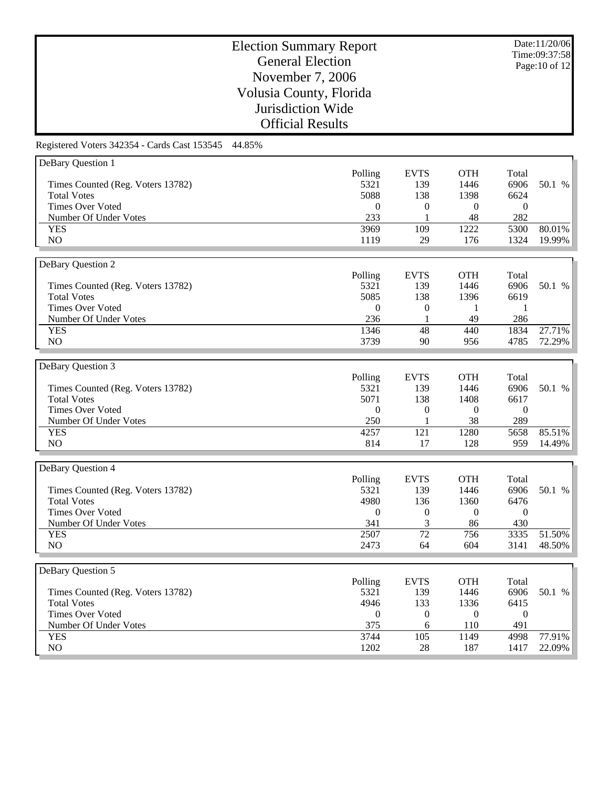Date:11/20/06 Time:09:37:58 Page:10 of 12

# Election Summary Report General Election November 7, 2006 Volusia County, Florida Jurisdiction Wide Official Results

| DeBary Question 1                 |                  |                  |                  |                |                  |
|-----------------------------------|------------------|------------------|------------------|----------------|------------------|
|                                   | Polling          | <b>EVTS</b>      | <b>OTH</b>       | Total          |                  |
| Times Counted (Reg. Voters 13782) | 5321             | 139              | 1446             | 6906           | 50.1 %           |
| <b>Total Votes</b>                | 5088             | 138              | 1398             | 6624           |                  |
| <b>Times Over Voted</b>           | $\theta$         | $\boldsymbol{0}$ | $\boldsymbol{0}$ | $\overline{0}$ |                  |
| Number Of Under Votes             | 233              | 1                | 48               | 282            |                  |
| <b>YES</b>                        | 3969             | 109              | 1222             | 5300           | 80.01%           |
| NO                                | 1119             | 29               | 176              | 1324           | 19.99%           |
|                                   |                  |                  |                  |                |                  |
| DeBary Question 2                 |                  |                  |                  |                |                  |
|                                   | Polling          | <b>EVTS</b>      | <b>OTH</b>       | Total          |                  |
| Times Counted (Reg. Voters 13782) | 5321             | 139              | 1446             | 6906           | 50.1 %           |
| <b>Total Votes</b>                | 5085             | 138              | 1396             | 6619           |                  |
| <b>Times Over Voted</b>           | $\boldsymbol{0}$ | $\mathbf{0}$     | 1                | 1              |                  |
| Number Of Under Votes             | 236              |                  | 49               | 286            |                  |
|                                   |                  | 1                |                  |                |                  |
| <b>YES</b>                        | 1346             | 48               | 440              | 1834           | 27.71%           |
| NO                                | 3739             | 90               | 956              | 4785           | 72.29%           |
|                                   |                  |                  |                  |                |                  |
| DeBary Question 3                 |                  |                  |                  |                |                  |
|                                   | Polling          | <b>EVTS</b>      | <b>OTH</b>       | Total          |                  |
| Times Counted (Reg. Voters 13782) | 5321             | 139              | 1446             | 6906           | 50.1 %           |
| <b>Total Votes</b>                | 5071             | 138              | 1408             | 6617           |                  |
| <b>Times Over Voted</b>           | $\mathbf{0}$     | $\boldsymbol{0}$ | $\boldsymbol{0}$ | $\overline{0}$ |                  |
| Number Of Under Votes             | 250              | 1                | 38               | 289            |                  |
| <b>YES</b>                        | 4257             | 121              | 1280             | 5658           | 85.51%           |
| NO                                | 814              | 17               | 128              | 959            | 14.49%           |
|                                   |                  |                  |                  |                |                  |
| DeBary Question 4                 |                  |                  |                  |                |                  |
|                                   | Polling          | <b>EVTS</b>      | <b>OTH</b>       | Total          |                  |
| Times Counted (Reg. Voters 13782) | 5321             | 139              | 1446             | 6906           | 50.1 %           |
| <b>Total Votes</b>                | 4980             | 136              | 1360             | 6476           |                  |
| <b>Times Over Voted</b>           | $\theta$         | $\boldsymbol{0}$ | $\overline{0}$   | $\theta$       |                  |
| Number Of Under Votes             | 341              | 3                | 86               | 430            |                  |
| <b>YES</b>                        | 2507             | 72               | 756              | 3335           | 51.50%           |
| NO                                | 2473             | 64               | 604              | 3141           | 48.50%           |
|                                   |                  |                  |                  |                |                  |
| DeBary Question 5                 |                  |                  |                  |                |                  |
|                                   |                  |                  |                  |                |                  |
|                                   |                  |                  |                  |                |                  |
|                                   | Polling          | <b>EVTS</b>      | <b>OTH</b>       | Total          |                  |
| Times Counted (Reg. Voters 13782) | 5321             | 139              | 1446             | 6906           | 50.1 %           |
| <b>Total Votes</b>                | 4946             | 133              | 1336             | 6415           |                  |
| <b>Times Over Voted</b>           | $\boldsymbol{0}$ | $\boldsymbol{0}$ | $\theta$         | $\mathbf{0}$   |                  |
| Number Of Under Votes             | 375              | 6                | 110              | 491            |                  |
| <b>YES</b><br>NO                  | 3744<br>1202     | 105<br>28        | 1149<br>187      | 4998<br>1417   | 77.91%<br>22.09% |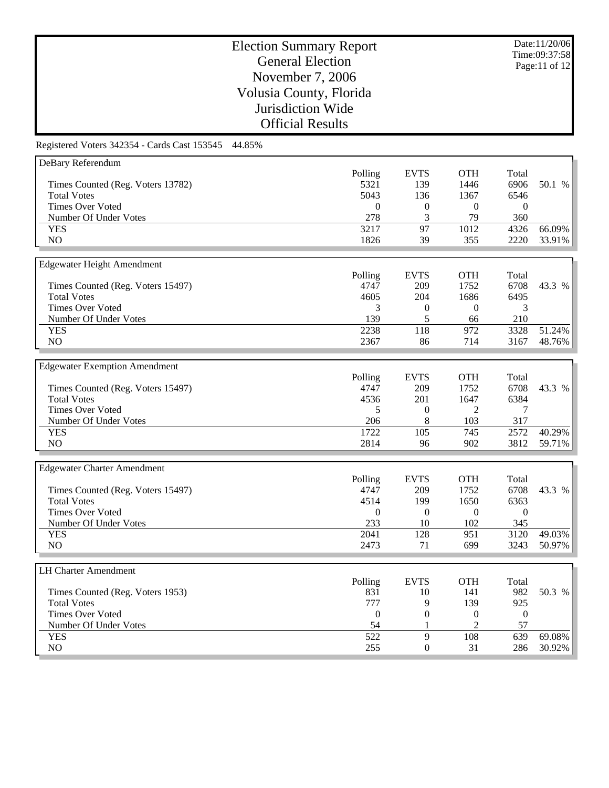Date:11/20/06 Time:09:37:58 Page:11 of 12

# Election Summary Report General Election November 7, 2006 Volusia County, Florida Jurisdiction Wide Official Results

| DeBary Referendum                    |                  |                  |                  |                  |        |
|--------------------------------------|------------------|------------------|------------------|------------------|--------|
|                                      | Polling          | <b>EVTS</b>      | <b>OTH</b>       | Total            |        |
| Times Counted (Reg. Voters 13782)    | 5321             | 139              | 1446             | 6906             | 50.1 % |
| <b>Total Votes</b>                   | 5043             | 136              | 1367             | 6546             |        |
| <b>Times Over Voted</b>              | $\boldsymbol{0}$ | $\boldsymbol{0}$ | $\boldsymbol{0}$ | $\overline{0}$   |        |
| Number Of Under Votes                | 278              | 3                | 79               | 360              |        |
| <b>YES</b>                           | 3217             | 97               | 1012             | 4326             | 66.09% |
| NO                                   | 1826             | 39               | 355              | 2220             | 33.91% |
|                                      |                  |                  |                  |                  |        |
| <b>Edgewater Height Amendment</b>    |                  |                  |                  |                  |        |
|                                      | Polling          | <b>EVTS</b>      | <b>OTH</b>       | Total            |        |
| Times Counted (Reg. Voters 15497)    | 4747             | 209              | 1752             | 6708             | 43.3 % |
| <b>Total Votes</b>                   | 4605             | 204              | 1686             | 6495             |        |
| <b>Times Over Voted</b>              | 3                | $\boldsymbol{0}$ | $\boldsymbol{0}$ | 3                |        |
| Number Of Under Votes                | 139              | 5                | 66               | 210              |        |
| <b>YES</b>                           | 2238             | 118              | 972              | 3328             | 51.24% |
| NO                                   | 2367             | 86               | 714              | 3167             | 48.76% |
|                                      |                  |                  |                  |                  |        |
|                                      |                  |                  |                  |                  |        |
| <b>Edgewater Exemption Amendment</b> |                  |                  |                  |                  |        |
|                                      | Polling          | <b>EVTS</b>      | <b>OTH</b>       | Total            |        |
| Times Counted (Reg. Voters 15497)    | 4747             | 209              | 1752             | 6708             | 43.3 % |
| <b>Total Votes</b>                   | 4536             | 201              | 1647             | 6384             |        |
| <b>Times Over Voted</b>              | 5                | $\mathbf{0}$     | $\overline{2}$   | 7                |        |
| Number Of Under Votes                | 206              | $\,8\,$          | 103              | 317              |        |
| <b>YES</b>                           | 1722             | 105              | 745              | 2572             | 40.29% |
| N <sub>O</sub>                       | 2814             | 96               | 902              | 3812             | 59.71% |
|                                      |                  |                  |                  |                  |        |
| <b>Edgewater Charter Amendment</b>   |                  |                  |                  |                  |        |
|                                      | Polling          | <b>EVTS</b>      | <b>OTH</b>       | Total            |        |
| Times Counted (Reg. Voters 15497)    | 4747             | 209              | 1752             | 6708             | 43.3 % |
| <b>Total Votes</b>                   | 4514             | 199              | 1650             | 6363             |        |
| <b>Times Over Voted</b>              | $\boldsymbol{0}$ | $\boldsymbol{0}$ | $\mathbf{0}$     | $\overline{0}$   |        |
| Number Of Under Votes                | 233              | 10               | 102              | 345              |        |
| <b>YES</b>                           | 2041             | 128              | 951              | 3120             | 49.03% |
| N <sub>O</sub>                       | 2473             | 71               | 699              | 3243             | 50.97% |
|                                      |                  |                  |                  |                  |        |
| <b>LH Charter Amendment</b>          |                  |                  |                  |                  |        |
|                                      | Polling          | <b>EVTS</b>      | <b>OTH</b>       | Total            |        |
| Times Counted (Reg. Voters 1953)     | 831              | 10               | 141              | 982              | 50.3 % |
| <b>Total Votes</b>                   | 777              | 9                | 139              | 925              |        |
| <b>Times Over Voted</b>              | $\boldsymbol{0}$ | $\boldsymbol{0}$ | $\boldsymbol{0}$ | $\boldsymbol{0}$ |        |
| Number Of Under Votes                | 54               | 1                | $\overline{2}$   | 57               |        |
| <b>YES</b>                           | 522              | $\overline{9}$   | 108              | $\overline{639}$ | 69.08% |
| NO                                   |                  |                  |                  |                  |        |
|                                      | 255              | $\overline{0}$   | 31               | 286              | 30.92% |